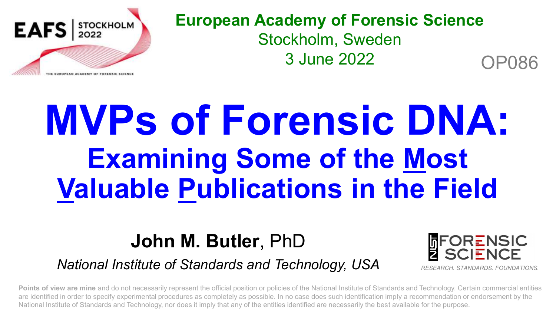

#### **European Academy of Forensic Science** Stockholm, Sweden 3 June 2022 OP086

## **MVPs of Forensic DNA: Examining Some of the Most Valuable Publications in the Field**

## **John M. Butler**, PhD

#### *National Institute of Standards and Technology, USA*



**Points of view are mine** and do not necessarily represent the official position or policies of the National Institute of Standards and Technology. Certain commercial entities are identified in order to specify experimental procedures as completely as possible. In no case does such identification imply a recommendation or endorsement by the National Institute of Standards and Technology, nor does it imply that any of the entities identified are necessarily the best available for the purpose.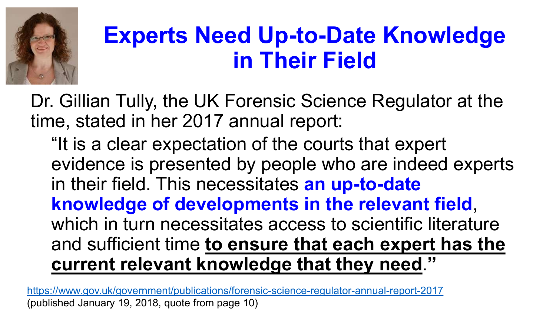

## **Experts Need Up-to-Date Knowledge in Their Field**

Dr. Gillian Tully, the UK Forensic Science Regulator at the time, stated in her 2017 annual report:

"It is a clear expectation of the courts that expert evidence is presented by people who are indeed experts in their field. This necessitates **an up-to-date knowledge of developments in the relevant field**, which in turn necessitates access to scientific literature and sufficient time **to ensure that each expert has the current relevant knowledge that they need**.**"**

<https://www.gov.uk/government/publications/forensic-science-regulator-annual-report-2017> (published January 19, 2018, quote from page 10)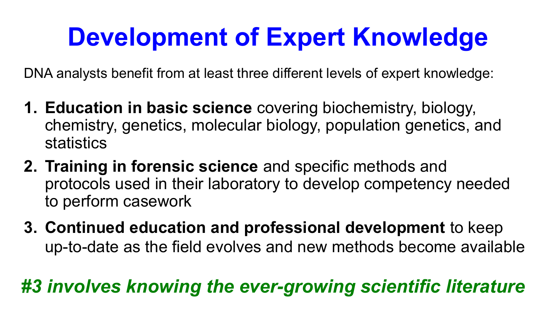## **Development of Expert Knowledge**

DNA analysts benefit from at least three different levels of expert knowledge:

- **1. Education in basic science** covering biochemistry, biology, chemistry, genetics, molecular biology, population genetics, and statistics
- **2. Training in forensic science** and specific methods and protocols used in their laboratory to develop competency needed to perform casework
- **3. Continued education and professional development** to keep up-to-date as the field evolves and new methods become available

## *#3 involves knowing the ever-growing scientific literature*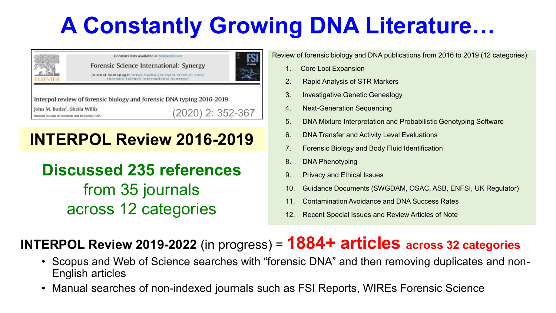## **A Constantly Growing DNA Literature…**



#### **INTERPOL Review 2016-2019**

**Discussed 235 references**  from 35 journals across 12 categories

Review of forensic biology and DNA publications from 2016 to 2019 (12 categories):

- 1. Core Loci Expansion
- 2. Rapid Analysis of STR Markers
- 3. Investigative Genetic Genealogy
- 4. Next-Generation Sequencing
- 5. DNA Mixture Interpretation and Probabilistic Genotyping Software
- 6. DNA Transfer and Activity Level Evaluations
- 7. Forensic Biology and Body Fluid Identification
- 8. DNA Phenotyping
- 9. Privacy and Ethical Issues
- 10. Guidance Documents (SWGDAM, OSAC, ASB, ENFSI, UK Regulator)
- 11. Contamination Avoidance and DNA Success Rates
- 12. Recent Special Issues and Review Articles of Note

#### **INTERPOL Review 2019-2022** (in progress) = **1884+ articles across 32 categories**

- Scopus and Web of Science searches with "forensic DNA" and then removing duplicates and non-English articles
- Manual searches of non-indexed journals such as FSI Reports, WIREs Forensic Science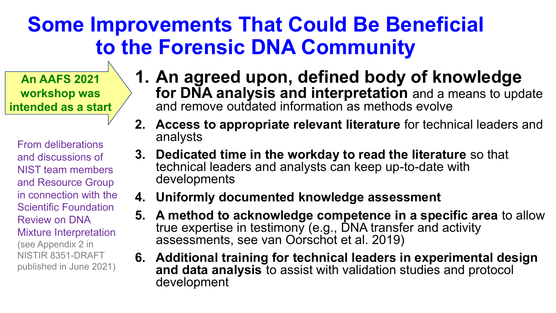## **Some Improvements That Could Be Beneficial to the Forensic DNA Community**

**An AAFS 2021 workshop was intended as a start** 

From deliberations and discussions of NIST team members and Resource Group in connection with the Scientific Foundation Review on DNA Mixture Interpretation (see Appendix 2 in NISTIR 8351-DRAFT published in June 2021)

- **1. An agreed upon, defined body of knowledge for DNA analysis and interpretation** and a means to update and remove outdated information as methods evolve
- **2. Access to appropriate relevant literature** for technical leaders and analysts
- **3. Dedicated time in the workday to read the literature** so that technical leaders and analysts can keep up-to-date with developments
- **4. Uniformly documented knowledge assessment**
- **5. A method to acknowledge competence in a specific area** to allow true expertise in testimony (e.g., DNA transfer and activity assessments, see van Oorschot et al. 2019)
- **6. Additional training for technical leaders in experimental design and data analysis** to assist with validation studies and protocol development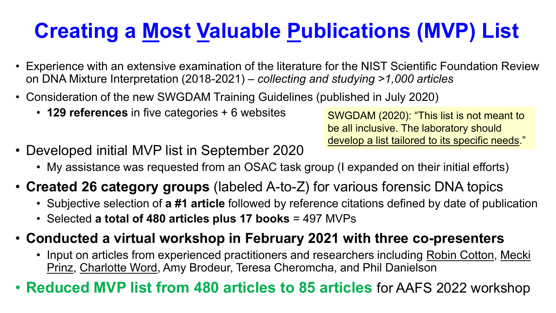## **Creating a Most Valuable Publications (MVP) List**

- Experience with an extensive examination of the literature for the NIST Scientific Foundation Review on DNA Mixture Interpretation (2018-2021) – *collecting and studying >1,000 articles*
- Consideration of the new SWGDAM Training Guidelines (published in July 2020)
	- **129 references** in five categories + 6 websites

• Developed initial MVP list in September 2020 be all inclusive. The laboratory should develop a list tailored to its specific needs."

SWGDAM (2020): "This list is not meant to

- My assistance was requested from an OSAC task group (I expanded on their initial efforts)
- **Created 26 category groups** (labeled A-to-Z) for various forensic DNA topics
	- Subjective selection of **a #1 article** followed by reference citations defined by date of publication
	- Selected **a total of 480 articles plus 17 books** = 497 MVPs
- **Conducted a virtual workshop in February 2021 with three co-presenters**
	- Input on articles from experienced practitioners and researchers including Robin Cotton, Mecki Prinz, Charlotte Word, Amy Brodeur, Teresa Cheromcha, and Phil Danielson
- **Reduced MVP list from 480 articles to 85 articles** for AAFS 2022 workshop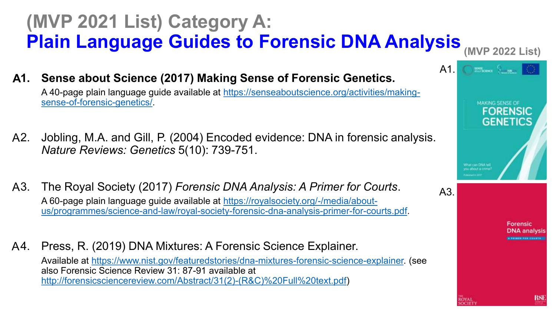## **(MVP 2021 List) Category A: Plain Language Guides to Forensic DNA Analysis**

**(MVP 2022 List)** 

**1. Sense about Science (2017) Making Sense of Forensic Genetics.**  [A 40-page plain language guide available at https://senseaboutscience.org/activities/making-](https://senseaboutscience.org/activities/making-sense-of-forensic-genetics/)**A**

sense-of-forensic-genetics/.

- 2. Jobling, M.A. and Gill, P. (2004) Encoded evidence: DNA in forensic analysis. *Nature Reviews: Genetics* 5(10): 739-751. A2.
- 3. The Royal Society (2017) *Forensic DNA Analysis: A Primer for Courts*. A 60-page plain language guide available at https://royalsociety.org/-/media/about[us/programmes/science-and-law/royal-society-forensic-dna-analysis-primer-for-courts.pdf.](https://royalsociety.org/-/media/about-us/programmes/science-and-law/royal-society-forensic-dna-analysis-primer-for-courts.pdf)  $A3.$
- 4. Press, R. (2019) DNA Mixtures: A Forensic Science Explainer. A4.

Available at [https://www.nist.gov/featuredstories/dna-mixtures-forensic-science-explainer.](https://www.nist.gov/featuredstories/dna-mixtures-forensic-science-explainer) (see also Forensic Science Review 31: 87-91 available at [http://forensicsciencereview.com/Abstract/31\(2\)-\(R&C\)%20Full%20text.pdf\)](http://forensicsciencereview.com/Abstract/31(2)-(R&C)%20Full%20text.pdf)



RSI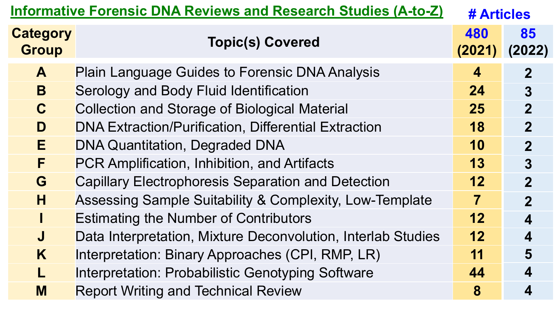| <b>Informative Forensic DNA Reviews and Research Studies (A-to-Z)</b> | # Articles                                                   |    |                |  |  |  |  |
|-----------------------------------------------------------------------|--------------------------------------------------------------|----|----------------|--|--|--|--|
| <b>Category</b><br><b>Group</b>                                       | <b>Topic(s) Covered</b>                                      |    | 85<br>(2022)   |  |  |  |  |
| A                                                                     | <b>Plain Language Guides to Forensic DNA Analysis</b>        | 4  | $\overline{2}$ |  |  |  |  |
| B                                                                     | Serology and Body Fluid Identification                       |    |                |  |  |  |  |
| $\mathbf C$                                                           | <b>Collection and Storage of Biological Material</b>         |    |                |  |  |  |  |
| D                                                                     | <b>DNA Extraction/Purification, Differential Extraction</b>  |    |                |  |  |  |  |
| E                                                                     | <b>DNA Quantitation, Degraded DNA</b>                        |    |                |  |  |  |  |
| F                                                                     | PCR Amplification, Inhibition, and Artifacts                 | 13 | $\overline{3}$ |  |  |  |  |
| G                                                                     | <b>Capillary Electrophoresis Separation and Detection</b>    |    |                |  |  |  |  |
| H                                                                     | Assessing Sample Suitability & Complexity, Low-Template      |    |                |  |  |  |  |
|                                                                       | <b>Estimating the Number of Contributors</b>                 |    |                |  |  |  |  |
| $\mathbf J$                                                           | Data Interpretation, Mixture Deconvolution, Interlab Studies |    |                |  |  |  |  |
| K                                                                     | Interpretation: Binary Approaches (CPI, RMP, LR)             | 11 | 5              |  |  |  |  |
|                                                                       | Interpretation: Probabilistic Genotyping Software            | 44 | 4              |  |  |  |  |
| M                                                                     | <b>Report Writing and Technical Review</b>                   | 8  | 4              |  |  |  |  |
|                                                                       |                                                              |    |                |  |  |  |  |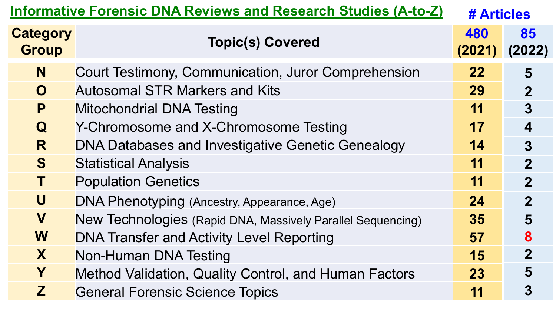| <b>Informative Forensic DNA Reviews and Research Studies (A-to-Z)</b> | # Articles                                                  |    |                         |
|-----------------------------------------------------------------------|-------------------------------------------------------------|----|-------------------------|
| <b>Category</b><br><b>Group</b>                                       | <b>Topic(s) Covered</b>                                     |    | 85<br>(2022)            |
| N                                                                     | Court Testimony, Communication, Juror Comprehension         | 22 | 5                       |
| $\mathbf{O}$                                                          | <b>Autosomal STR Markers and Kits</b>                       | 29 | $\overline{2}$          |
| P                                                                     | <b>Mitochondrial DNA Testing</b>                            | 11 | $\overline{3}$          |
| $\bf{Q}$                                                              | Y-Chromosome and X-Chromosome Testing                       | 17 | $\overline{\mathbf{4}}$ |
| R                                                                     | <b>DNA Databases and Investigative Genetic Genealogy</b>    | 14 | $\overline{3}$          |
| S                                                                     | <b>Statistical Analysis</b>                                 | 11 | $\overline{2}$          |
| Τ                                                                     | <b>Population Genetics</b>                                  | 11 | $\overline{2}$          |
| U                                                                     | DNA Phenotyping (Ancestry, Appearance, Age)                 | 24 | $\overline{2}$          |
| V                                                                     | New Technologies (Rapid DNA, Massively Parallel Sequencing) | 35 | 5                       |
| W                                                                     | <b>DNA Transfer and Activity Level Reporting</b>            | 57 | 8                       |
| X                                                                     | Non-Human DNA Testing                                       | 15 | $\overline{2}$          |
| Y                                                                     | Method Validation, Quality Control, and Human Factors       | 23 | 5                       |
| Z                                                                     | <b>General Forensic Science Topics</b>                      | 11 | $\overline{3}$          |
|                                                                       |                                                             |    |                         |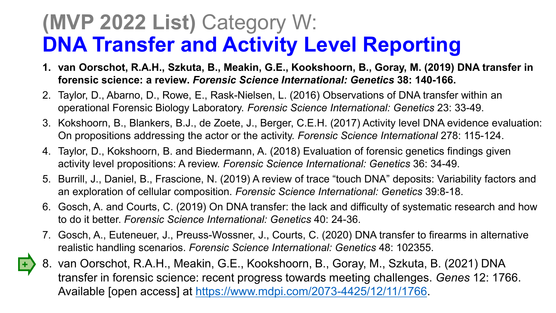## **(MVP 2022 List)** Category W: **DNA Transfer and Activity Level Reporting**

- **1. van Oorschot, R.A.H., Szkuta, B., Meakin, G.E., Kookshoorn, B., Goray, M. (2019) DNA transfer in forensic science: a review.** *Forensic Science International: Genetics* **38: 140-166.**
- 2. Taylor, D., Abarno, D., Rowe, E., Rask-Nielsen, L. (2016) Observations of DNA transfer within an operational Forensic Biology Laboratory. *Forensic Science International: Genetics* 23: 33-49.
- 3. Kokshoorn, B., Blankers, B.J., de Zoete, J., Berger, C.E.H. (2017) Activity level DNA evidence evaluation: On propositions addressing the actor or the activity. *Forensic Science International* 278: 115-124.
- 4. Taylor, D., Kokshoorn, B. and Biedermann, A. (2018) Evaluation of forensic genetics findings given activity level propositions: A review. *Forensic Science International: Genetics* 36: 34-49.
- 5. Burrill, J., Daniel, B., Frascione, N. (2019) A review of trace "touch DNA" deposits: Variability factors and an exploration of cellular composition. *Forensic Science International: Genetics* 39:8-18.
- 6. Gosch, A. and Courts, C. (2019) On DNA transfer: the lack and difficulty of systematic research and how to do it better. *Forensic Science International: Genetics* 40: 24-36.
- 7. Gosch, A., Euteneuer, J., Preuss-Wossner, J., Courts, C. (2020) DNA transfer to firearms in alternative realistic handling scenarios. *Forensic Science International: Genetics* 48: 102355.
- 8. van Oorschot, R.A.H., Meakin, G.E., Kookshoorn, B., Goray, M., Szkuta, B. (2021) DNA transfer in forensic science: recent progress towards meeting challenges. *Genes* 12: 1766. Available [open access] at [https://www.mdpi.com/2073-4425/12/11/1766.](https://www.mdpi.com/2073-4425/12/11/1766)

**+**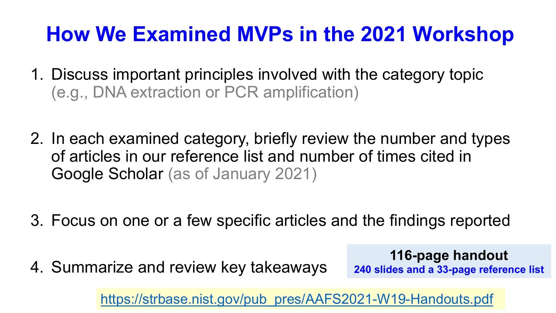## **How We Examined MVPs in the 2021 Workshop**

- 1. Discuss important principles involved with the category topic (e.g., DNA extraction or PCR amplification)
- 2. In each examined category, briefly review the number and types of articles in our reference list and number of times cited in Google Scholar (as of January 2021)
- 3. Focus on one or a few specific articles and the findings reported
- 4. Summarize and review key takeaways

**116-page handout 240 slides and a 33-page reference list**

[https://strbase.nist.gov/pub\\_pres/AAFS2021-W19-Handouts.pdf](https://strbase.nist.gov/pub_pres/AAFS2021-W19-Handouts.pdf)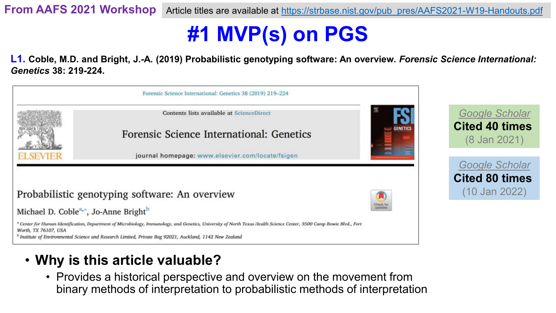## **#1 MVP(s) on PGS**

**L1. Coble, M.D. and Bright, J.-A. (2019) Probabilistic genotyping software: An overview.** *Forensic Science International: Genetics* **38: 219-224.**



#### • **Why is this article valuable?**

• Provides a historical perspective and overview on the movement from binary methods of interpretation to probabilistic methods of interpretation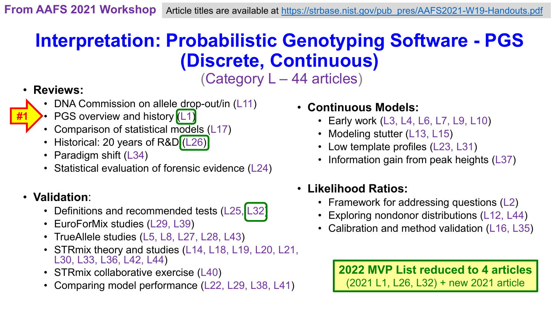## **Interpretation: Probabilistic Genotyping Software - PGS (Discrete, Continuous)**

(Category L – 44 articles)

#### • **Reviews:**

**#1**

- DNA Commission on allele drop-out/in (L11)
- PGS overview and history (L1)
- Comparison of statistical models (L17)
- Historical: 20 years of R&D (L26)
- Paradigm shift (L34)
- Statistical evaluation of forensic evidence (L24)

#### • **Validation**:

- Definitions and recommended tests (L25, L32)
- EuroForMix studies (L29, L39)
- TrueAllele studies (L5, L8, L27, L28, L43)
- STRmix theory and studies (L14, L18, L19, L20, L21, L30, L33, L36, L42, L44)
- STRmix collaborative exercise (L40)
- Comparing model performance (L22, L29, L38, L41)
- **Continuous Models:**
	- Early work (L3, L4, L6, L7, L9, L10)
	- Modeling stutter (L13, L15)
	- Low template profiles (L23, L31)
	- Information gain from peak heights (L37)
- **Likelihood Ratios:**
	- Framework for addressing questions (L2)
	- Exploring nondonor distributions (L12, L44)
	- Calibration and method validation (L16, L35)

**2022 MVP List reduced to 4 articles** (2021 L1, L26, L32) + new 2021 article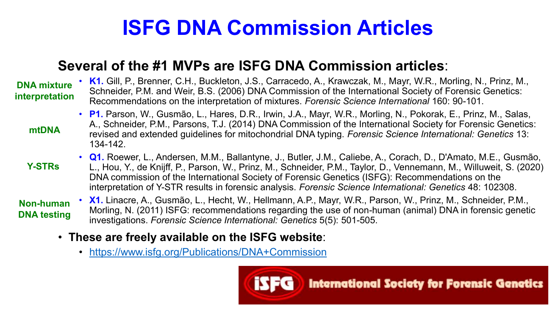## **ISFG DNA Commission Articles**

#### **Several of the #1 MVPs are ISFG DNA Commission articles**:

#### **DNA mixture interpretation**

• **K1.** Gill, P., Brenner, C.H., Buckleton, J.S., Carracedo, A., Krawczak, M., Mayr, W.R., Morling, N., Prinz, M., Schneider, P.M. and Weir, B.S. (2006) DNA Commission of the International Society of Forensic Genetics: Recommendations on the interpretation of mixtures. *Forensic Science International* 160: 90-101.

- **mtDNA**
- **P1.** Parson, W., Gusmão, L., Hares, D.R., Irwin, J.A., Mayr, W.R., Morling, N., Pokorak, E., Prinz, M., Salas, A., Schneider, P.M., Parsons, T.J. (2014) DNA Commission of the International Society for Forensic Genetics: revised and extended guidelines for mitochondrial DNA typing. *Forensic Science International: Genetics* 13: 134-142.
- **Q1.** Roewer, L., Andersen, M.M., Ballantyne, J., Butler, J.M., Caliebe, A., Corach, D., D'Amato, M.E., Gusmão, L., Hou, Y., de Knijff, P., Parson, W., Prinz, M., Schneider, P.M., Taylor, D., Vennemann, M., Willuweit, S. (2020) DNA commission of the International Society of Forensic Genetics (ISFG): Recommendations on the interpretation of Y-STR results in forensic analysis. *Forensic Science International: Genetics* 48: 102308. **Y-STRs**

**Non-human DNA testing**

- **X1.** Linacre, A., Gusmão, L., Hecht, W., Hellmann, A.P., Mayr, W.R., Parson, W., Prinz, M., Schneider, P.M., Morling, N. (2011) ISFG: recommendations regarding the use of non-human (animal) DNA in forensic genetic investigations. *Forensic Science International: Genetics* 5(5): 501-505.
- **These are freely available on the ISFG website**:
	- <https://www.isfg.org/Publications/DNA+Commission>

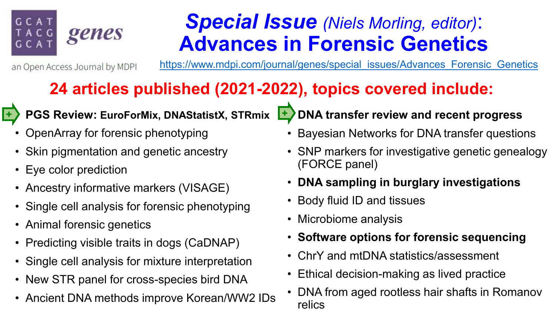## **GCAT** genes

## *Special Issue (Niels Morling, editor)*: **Advances in Forensic Genetics**

an Open Access Journal by MDPI

[https://www.mdpi.com/journal/genes/special\\_issues/Advances\\_Forensic\\_Genetics](https://www.mdpi.com/journal/genes/special_issues/Advances_Forensic_Genetics)

### **24 articles published (2021-2022), topics covered include:**



#### • **PGS Review: EuroForMix, DNAStatistX, STRmix + +**

- OpenArray for forensic phenotyping
- Skin pigmentation and genetic ancestry
- Eye color prediction
- Ancestry informative markers (VISAGE)
- Single cell analysis for forensic phenotyping
- Animal forensic genetics
- Predicting visible traits in dogs (CaDNAP)
- Single cell analysis for mixture interpretation
- New STR panel for cross-species bird DNA
- Ancient DNA methods improve Korean/WW2 IDs
- **DNA transfer review and recent progress**
- Bayesian Networks for DNA transfer questions
- SNP markers for investigative genetic genealogy (FORCE panel)
- **DNA sampling in burglary investigations**
- Body fluid ID and tissues
- Microbiome analysis
- **Software options for forensic sequencing**
- ChrY and mtDNA statistics/assessment
- Ethical decision-making as lived practice
- DNA from aged rootless hair shafts in Romanov relics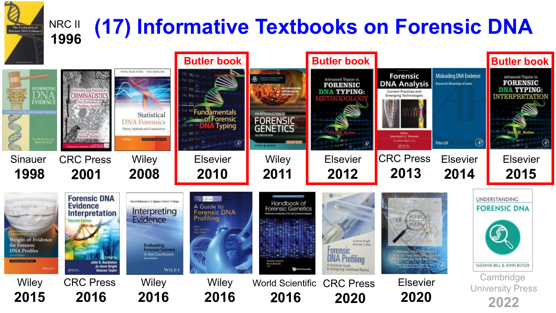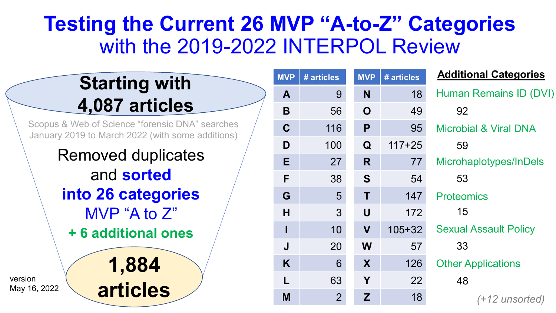## **Testing the Current 26 MVP "A-to-Z" Categories**  with the 2019-2022 INTERPOL Review

**MVP** 

**A** 9

**B** 56

 $C$ 

**E** 27

**G** 5

 $K$ 

**M** 

## **Starting with 4,087 articles**

Scopus & Web of Science "forensic DNA" searches January 2019 to March 2022 (with some additions)

> Removed duplicates and **sorted into 26 categories**  MVP "A to Z" **1,884 + 6 additional ones**

> > **articles**

| <b>IVP</b>   | # articles     | <b>MVP</b> | # articles | <b>Additional Categories</b>     |
|--------------|----------------|------------|------------|----------------------------------|
| Α            | 9              | N          | 18         | Human Remains ID (DVI)           |
| B            | 56             | O          | 49         | 92                               |
| $\mathbf C$  | 116            | P          | 95         | <b>Microbial &amp; Viral DNA</b> |
| D            | 100            | Q          | $117 + 25$ | 59                               |
| E            | 27             | R          | 77         | Microhaplotypes/InDels           |
| F            | 38             | S          | 54         | 53                               |
| G            | 5              | Τ          | 147        | <b>Proteomics</b>                |
| H            | 3              | U          | 172        | 15                               |
| $\mathbf{I}$ | 10             | V          | $105 + 32$ | <b>Sexual Assault Policy</b>     |
| J            | 20             | W          | 57         | 33                               |
| K            | 6              | X          | 126        | <b>Other Applications</b>        |
| L            | 63             | Y          | 22         | 48                               |
| M            | $\overline{2}$ | Z          | 18         | (+12 unsorted)                   |

version May 16, 2022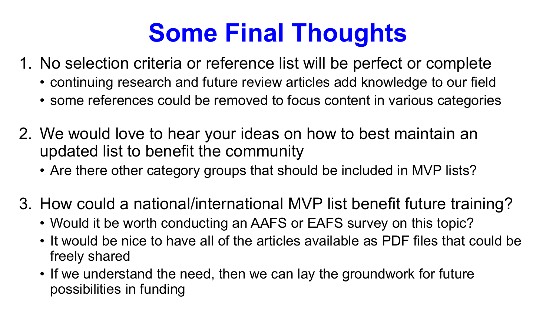## **Some Final Thoughts**

- 1. No selection criteria or reference list will be perfect or complete
	- continuing research and future review articles add knowledge to our field
	- some references could be removed to focus content in various categories
- 2. We would love to hear your ideas on how to best maintain an updated list to benefit the community
	- Are there other category groups that should be included in MVP lists?
- 3. How could a national/international MVP list benefit future training?
	- Would it be worth conducting an AAFS or EAFS survey on this topic?
	- It would be nice to have all of the articles available as PDF files that could be freely shared
	- If we understand the need, then we can lay the groundwork for future possibilities in funding